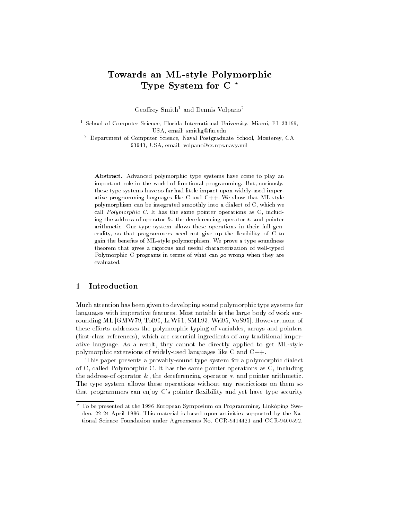# style Polymorphic Polymorphic Polymorphic Polymorphic Polymorphic Polymorphic Polymorphic Polymorphic Polymorphic Polymorphic Polymorphic Polymorphic Polymorphic Polymorphic Polymorphic Polymorphic Polymorphic Polymorphic Type System for C

Geonrey Smith- and Dennis volpano-

- School of Computer Science, Florida International University, Miami, FL 33199, USA- email smithgu edu

- Department of Computer Science, Naval Postgraduate School, Monterey, CA – - USA- email volpanocs nps navy mil

Abstract- Advanced polymorphic type systems have come to play an important role in the world of functional programming But- curiouslythese type systems have so far had little impact upon widely-used imperative programming languages like C and C++. We show that ML-style polymorphism can be integrated smoothly into a dialect of C- which we call Polymorphic C. It has the same pointer operations as C-It has the ing the addressof operator 
- the dereferencing operator - and pointer arithmetic. Our type system allows these operations in their full generality- so that programmers need not give up the exibility of C to gain the benefits of ML-style polymorphism. We prove a type soundness theorem that gives a rigorous and useful characterization of well-typed Polymorphic C programs in terms of what can go wrong when they are evaluated 

# Introduction

Much attention has been given to developing sound polymorphic type systems for languages with imperative features. Most notable is the large body of work surrounding ML GMW Toffensive and the small control of the small control of the small control of the small control of the small control of the small control of the small control of the small control of the small control of th these e-orts addresses the polymorphic typing of variables arrays and pointers (first-class references), which are essential ingredients of any traditional imperative language As a result they cannot be directly applied to get MLstyle polymorphic extensions of widely-used languages like C and  $C_{++}$ .

This paper presents a provably-sound type system for a polymorphic dialect of C, called Polymorphic C. It has the same pointer operations as  $C$ , including the address-of operator  $\&$ , the dereferencing operator  $*$ , and pointer arithmetic. The type system allows these operations without any restrictions on them so that programmers can enjoy  $C$ 's pointer flexibility and yet have type security

 $^{\circ}$  to be presented at the 1996 European Symposium on Programming, Linkoping Sweactive to the state of the state distribution is a state of the National International supported by the National tional Science  $\mathbf{M}$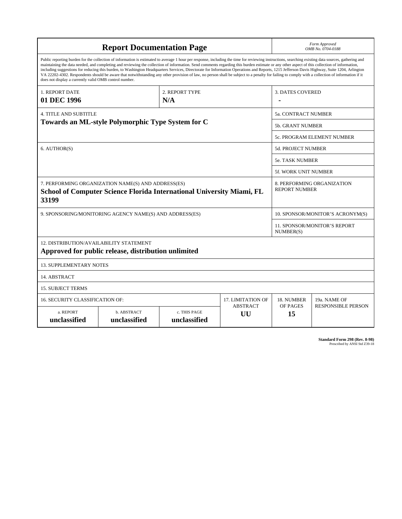| <b>Report Documentation Page</b>                                                                                                                                                                                                                                                                                                                                                                                                                                                                                                                                                                                                                                                                                                                                                                                                                                   |                             |                              |                       |                         | Form Approved<br>OMB No. 0704-0188        |  |
|--------------------------------------------------------------------------------------------------------------------------------------------------------------------------------------------------------------------------------------------------------------------------------------------------------------------------------------------------------------------------------------------------------------------------------------------------------------------------------------------------------------------------------------------------------------------------------------------------------------------------------------------------------------------------------------------------------------------------------------------------------------------------------------------------------------------------------------------------------------------|-----------------------------|------------------------------|-----------------------|-------------------------|-------------------------------------------|--|
| Public reporting burden for the collection of information is estimated to average 1 hour per response, including the time for reviewing instructions, searching existing data sources, gathering and<br>maintaining the data needed, and completing and reviewing the collection of information. Send comments regarding this burden estimate or any other aspect of this collection of information,<br>including suggestions for reducing this burden, to Washington Headquarters Services, Directorate for Information Operations and Reports, 1215 Jefferson Davis Highway, Suite 1204, Arlington<br>VA 22202-4302. Respondents should be aware that notwithstanding any other provision of law, no person shall be subject to a penalty for failing to comply with a collection of information if it<br>does not display a currently valid OMB control number. |                             |                              |                       |                         |                                           |  |
| 1. REPORT DATE                                                                                                                                                                                                                                                                                                                                                                                                                                                                                                                                                                                                                                                                                                                                                                                                                                                     |                             | 2. REPORT TYPE               |                       | <b>3. DATES COVERED</b> |                                           |  |
| 01 DEC 1996                                                                                                                                                                                                                                                                                                                                                                                                                                                                                                                                                                                                                                                                                                                                                                                                                                                        | N/A                         |                              |                       |                         |                                           |  |
| <b>4. TITLE AND SUBTITLE</b>                                                                                                                                                                                                                                                                                                                                                                                                                                                                                                                                                                                                                                                                                                                                                                                                                                       |                             |                              |                       |                         | 5a. CONTRACT NUMBER                       |  |
| Towards an ML-style Polymorphic Type System for C                                                                                                                                                                                                                                                                                                                                                                                                                                                                                                                                                                                                                                                                                                                                                                                                                  |                             |                              |                       |                         | <b>5b. GRANT NUMBER</b>                   |  |
|                                                                                                                                                                                                                                                                                                                                                                                                                                                                                                                                                                                                                                                                                                                                                                                                                                                                    |                             |                              |                       |                         | 5c. PROGRAM ELEMENT NUMBER                |  |
| 6. AUTHOR(S)                                                                                                                                                                                                                                                                                                                                                                                                                                                                                                                                                                                                                                                                                                                                                                                                                                                       |                             |                              |                       | 5d. PROJECT NUMBER      |                                           |  |
|                                                                                                                                                                                                                                                                                                                                                                                                                                                                                                                                                                                                                                                                                                                                                                                                                                                                    |                             |                              |                       | <b>5e. TASK NUMBER</b>  |                                           |  |
|                                                                                                                                                                                                                                                                                                                                                                                                                                                                                                                                                                                                                                                                                                                                                                                                                                                                    |                             |                              |                       |                         | <b>5f. WORK UNIT NUMBER</b>               |  |
| 7. PERFORMING ORGANIZATION NAME(S) AND ADDRESS(ES)<br>8. PERFORMING ORGANIZATION<br><b>REPORT NUMBER</b><br><b>School of Computer Science Florida International University Miami, FL</b><br>33199                                                                                                                                                                                                                                                                                                                                                                                                                                                                                                                                                                                                                                                                  |                             |                              |                       |                         |                                           |  |
| 9. SPONSORING/MONITORING AGENCY NAME(S) AND ADDRESS(ES)                                                                                                                                                                                                                                                                                                                                                                                                                                                                                                                                                                                                                                                                                                                                                                                                            |                             |                              |                       |                         | 10. SPONSOR/MONITOR'S ACRONYM(S)          |  |
|                                                                                                                                                                                                                                                                                                                                                                                                                                                                                                                                                                                                                                                                                                                                                                                                                                                                    |                             |                              |                       |                         | 11. SPONSOR/MONITOR'S REPORT<br>NUMBER(S) |  |
| 12. DISTRIBUTION/AVAILABILITY STATEMENT<br>Approved for public release, distribution unlimited                                                                                                                                                                                                                                                                                                                                                                                                                                                                                                                                                                                                                                                                                                                                                                     |                             |                              |                       |                         |                                           |  |
| <b>13. SUPPLEMENTARY NOTES</b>                                                                                                                                                                                                                                                                                                                                                                                                                                                                                                                                                                                                                                                                                                                                                                                                                                     |                             |                              |                       |                         |                                           |  |
| 14. ABSTRACT                                                                                                                                                                                                                                                                                                                                                                                                                                                                                                                                                                                                                                                                                                                                                                                                                                                       |                             |                              |                       |                         |                                           |  |
| <b>15. SUBJECT TERMS</b>                                                                                                                                                                                                                                                                                                                                                                                                                                                                                                                                                                                                                                                                                                                                                                                                                                           |                             |                              |                       |                         |                                           |  |
| 16. SECURITY CLASSIFICATION OF:                                                                                                                                                                                                                                                                                                                                                                                                                                                                                                                                                                                                                                                                                                                                                                                                                                    | 17. LIMITATION OF           | 18. NUMBER                   | 19a. NAME OF          |                         |                                           |  |
| a. REPORT<br>unclassified                                                                                                                                                                                                                                                                                                                                                                                                                                                                                                                                                                                                                                                                                                                                                                                                                                          | b. ABSTRACT<br>unclassified | c. THIS PAGE<br>unclassified | <b>ABSTRACT</b><br>UU | OF PAGES<br>15          | <b>RESPONSIBLE PERSON</b>                 |  |

**Standard Form 298 (Rev. 8-98)**<br>Prescribed by ANSI Std Z39-18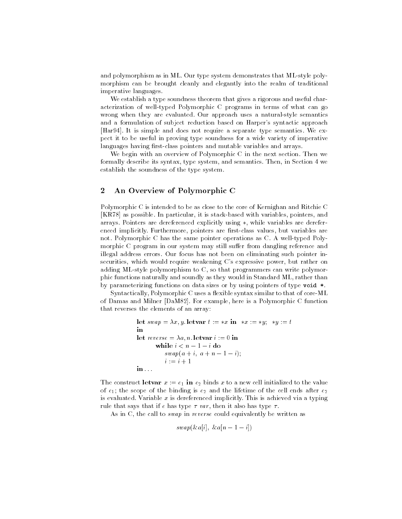and polymorphism as in ML. Our type system demonstrates that ML-style polymorphism can be brought cleanly and elegantly into the realm of traditional imperative languages

We establish a type soundness theorem that gives a rigorous and useful char acterization of well-typed Polymorphic C programs in terms of what can go wrong when they are evaluated. Our approach uses a natural-style semantics and a formulation of subject reduction based on Harper's syntactic approach [Har94]. It is simple and does not require a separate type semantics. We expect it to be useful in proving type soundness for a wide variety of imperative languages having first-class pointers and mutable variables and arrays.

We begin with an overview of Polymorphic C in the next section Then we formally describe its syntax, type system, and semantics. Then, in Section 4 we establish the soundness of the type system

### An Overview of Polymorphic C  $\overline{2}$

Polymorphic C is intended to be as close to the core of Kernighan and Ritchie C [KR78] as possible. In particular, it is stack-based with variables, pointers, and arrays. Pointers are dereferenced explicitly using \*, while variables are dereferenced implicitly. Furthermore, pointers are first-class values, but variables are not. Polymorphic C has the same pointer operations as C. A well-typed Polymorphic C program in our system may still su-er from dangling reference and illegal address errors Our focus has not been on eliminating such pointer in securities, which would require weakening C's expressive power, but rather on adding ML-style polymorphism to  $C$ , so that programmers can write polymorphic functions naturally and soundly as they would in Standard ML, rather than  $\sim$ y parameterining runctions on data sizes or  $\sim$ y using pointers or  $\sim$ y pe $\sim$   $\sim$   $\sim$ 

 ${\rm Syntactically, Polymorphic\ C}$  uses a flexible syntax similar to that of core-ML of Damas and Milner [DaM82]. For example, here is a Polymorphic C function that reverses the elements of an array

```
let swap =\lambda x, y. letvar t := *x in *x := *y; *y := tin\mathcal{L} . The contraction is the set of \mathcal{L}while i < n - 1 - i~\mathrm{do}swap(a+i, a+n-1-i):
          i := i + 1
```
The construct let  $\mathbf{v}_i = \mathbf{v}_i$  and  $\mathbf{v}_j$  single  $\mathbf{v}_i$  are the value of the value of of equations is equation to the score  $\alpha$  is equation of the cell ends after example  $\alpha$ is evaluated. Variable x is dereferenced implicitly. This is achieved via a typing rule that says that if e has type  $\tau$  var, then it also has type  $\tau$ .<br>As in C, the call to *swap* in *reverse* could equivalently be written as

 $swap(\&a[i], \&a[n-1-i])$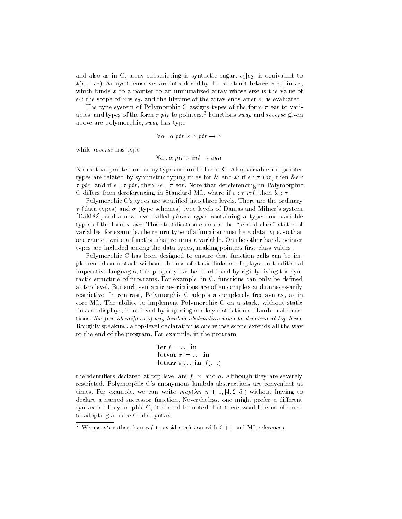and also as in C array subscripting is synthetic sugar ee-  $\sim$  $*(e_1+e_2)$ . Arrays themselves are introduced by the construct letarr  $x[e_1]$  in  $e_2$ , which binds  $x$  to a pointer to an uninitialized array whose size is the value of e the scope of the scope of the array ends after a strong after a function  $\mathcal{L}_A$  and a stronger e-

The type system of Polymorphic C assigns types of the form  $\tau$  var to variables, and types of the form  $\tau$  ptr to pointers.<sup>3</sup> Functions swap and reverse given above are polymorphic; swap has type

$$
\forall \alpha \, \ldotp \alpha \, \text{ptr} \times \alpha \, \text{ptr} \rightarrow \alpha
$$

while *reverse* has type

$$
\forall \alpha \ \ \alpha \ \ ptr \times int \rightarrow unit
$$

Notice that pointer and array types are unified as in C. Also, variable and pointer types are related by symmetric typing rules for & and  $\ast$ : if  $e : \tau \text{ var}$ , then  $\&e :$  $\tau$  ptr, and if  $e : \tau$  ptr, then  $\ast e : \tau$  var. Note that dereferencing in Polymorphic ers from dereferencing in Standard Medicine if e if the if e if e

Polymorphic C's types are stratified into three levels. There are the ordinary  $\tau$  (data types) and  $\sigma$  (type schemes) type levels of Damas and Milner's system [DaM82], and a new level called *phrase types* containing  $\sigma$  types and variable types of the form  $\tau$  var. This stratification enforces the "second-class" status of variables: for example, the return type of a function must be a data type, so that one cannot write a function that returns a variable On the other hand pointer types are included among the data types, making pointers first-class values.

Polymorphic C has been designed to ensure that function calls can be im plemented on a stack without the use of static links or displays In traditional imperative languages, this property has been achieved by rigidly fixing the syntactic structure of programs. For example, in C, functions can only be defined at top level. But such syntactic restrictions are often complex and unnecessarily restrictive. In contrast, Polymorphic C adopts a completely free syntax, as in core-ML. The ability to implement Polymorphic C on a stack, without static links or displays, is achieved by imposing one key restriction on lambda abstractions the free identifiers of did identifiable declared at the declared at top level  $\sim$ Roughly speaking, a top-level declaration is one whose scope extends all the way to the end of the program. For example, in the program

$$
\begin{array}{l}\n\textbf{let } f = \dots \textbf{ in} \\
\textbf{letvar } x := \dots \textbf{ in} \\
\textbf{letarr } a[...] \textbf{ in } f(...)\n\end{array}
$$

the identifiers declared at top level are  $f, x$ , and  $a$ . Although they are severely restricted, Polymorphic C's anonymous lambda abstractions are convenient at  $\min$  . For example, we can write map (notice  $\frac{1}{n}$ ,  $\frac{1}{n+1}$ ,  $\frac{1}{n+1}$ ,  $\frac{1}{n+1}$ , without having to declare a named successor function Nevertheless one might prefer a di-erent syntax for Polymorphic C; it should be noted that there would be no obstacle to adopting a more C-like syntax.

<sup>-</sup> We use  $ptr$  rather than  $ref$  to avoid confusion with  $\cup++$  and ML references.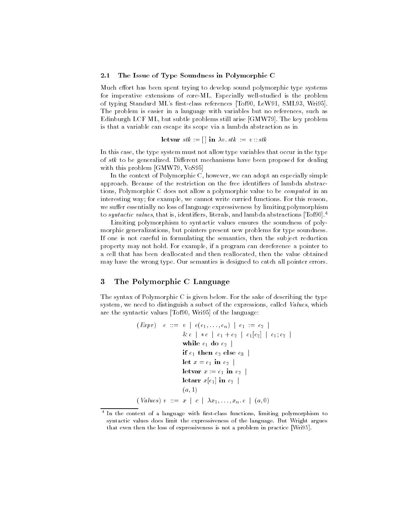#### -The Issue of Type Soundness in Polymorphic C

Much e-ort has been spent trying to develop sound polymorphic type systems for imperative extensions of core-ML. Especially well-studied is the problem of typing Standard MLs references references Tofanic Hotel Standard (1999) (1999) The problem is easier in a language with variables but no references, such as Edinburgh LCF ML, but subtle problems still arise  $[GMW79]$ . The key problem is that a variable can escape its scope via a lambda abstraction as in

letvar 
$$
stk := []
$$
 in  $\lambda v$ .  $stk := v$  ::  $stk$ 

In this case, the type system must not allow type variables that occur in the type of stk to be generalized Di-erent mechanisms have been proposed for dealing with this problem  $[GMW79, VoS95]$ 

In the context of Polymorphic C, however, we can adopt an especially simple approach. Because of the restriction on the free identifiers of lambda abstractions, Polymorphic C does not allow a polymorphic value to be *computed* in an interesting way; for example, we cannot write curried functions. For this reason, we sure the language expressive expressive by limiting polymorphisms. to *syntactic values*, that is, identifiers, literals, and lambda abstractions  $[Tof 90]$ <sup>4</sup>

Limiting polymorphism to syntactic values ensures the soundness of poly morphic generalizations, but pointers present new problems for type soundness. If one is not careful in formulating the semantics then the subject reduction property may not hold. For example, if a program can dereference a pointer to a cell that has been deallocated and then reallocated, then the value obtained may have the wrong type Our semantics is designed to catch all pointer errors

# The Polymorphic C Language

The syntax of Polymorphic C is given below For the sake of describing the type system, we need to distinguish a subset of the expressions, called *Values*, which are the syntactic values [Tof90, Wri95] of the language:

$$
(Expr) \quad e \ ::= \ v \ | \ e(e_1, \ldots, e_n) \ | \ e_1 \ := \ e_2 \ |
$$
\n
$$
\& e \ | \ *e \ | \ e_1 + e_2 \ | \ e_1[e_2] \ | \ e_1; e_2 \ |
$$
\n
$$
\text{while } e_1 \text{ do } e_2 \ |
$$
\n
$$
\text{if } e_1 \text{ then } e_2 \text{ else } e_3 \ |
$$
\n
$$
\text{let } x = e_1 \text{ in } e_2 \ |
$$
\n
$$
\text{letvar } x := e_1 \text{ in } e_2 \ |
$$
\n
$$
\text{letarr } x[e_1] \text{ in } e_2 \ |
$$
\n
$$
(a, 1)
$$
\n
$$
(Values) \ v ::= x \ | \ c \ | \ \lambda x_1, \ldots, x_n. e \ | \ (a, 0)
$$

Th the context of a language with first-class functions, limiting polymorphism to syntactic values does limit the expressiveness of the language. But Wright argues that even then the loss of expressiveness is not a problem in practice [Wri95].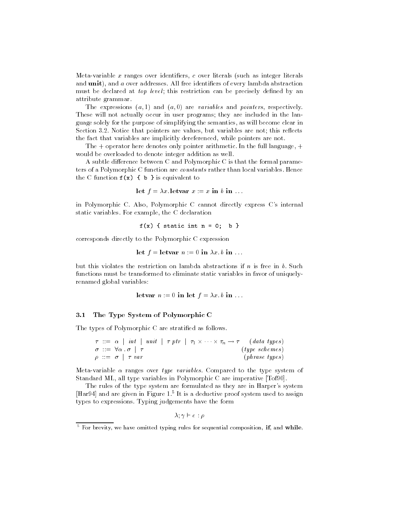Meta-variable x ranges over identifiers, c over literals (such as integer literals and unit), and a over addresses. All free identifiers of every lambda abstraction must be declared at *top level*; this restriction can be precisely defined by an attribute grammar

- the expressions (with most interval and provided provided the second state of  $\mathbb{R}^n$ These will not actually occur in user programs; they are included in the language solely for the purpose of simplifying the semantics as will become clear in Section 3.2. Notice that pointers are values, but variables are not; this reflects the fact that variables are implicitly dereferenced, while pointers are not.

The  $+$  operator here denotes only pointer arithmetic. In the full language,  $+$ would be overloaded to denote integer addition as well

A subtle di-erence between C and Polymorphic C is that the formal parame ters of a Polymorphic C function are *constants* rather than local variables. Hence the C function  $f(x)$  { b } is equivalent to

let 
$$
f = \lambda x
$$
. letvar  $x := x$  in b in ...

in Polymorphic C. Also, Polymorphic C cannot directly express C's internal static variables. For example, the C declaration

 $f(x)$  { static int n = 0; b }

corresponds directly to the Polymorphic C expression

$$
\mathbf{let} \ f = \mathbf{letvar} \ n := 0 \ \mathbf{in} \ \lambda x \ b \ \mathbf{in} \ \ldots
$$

but this violates the restriction on lambda abstractions if n is free in  $b$ . Such functions must be transformed to eliminate static variables in favor of uniquely renamed global variables

let var  $n := v$  in let  $f = \lambda x$ .  $v$  in  $\dots$ 

#### $3.1$ The Type System of Polymorphic C

The types of Polymorphic C are strating as follows: the types of Polymorphic C are strating as follows: the types of Polymorphic C are strating as follows: the types of Polymorphic C are strating as follows: the types of P

| $\gamma$ pes of Polymorphic C are stratified as follows.                                                |                           |
|---------------------------------------------------------------------------------------------------------|---------------------------|
| $\tau := \alpha$   int   unit   $\tau$ ptr   $\tau_1 \times \cdots \times \tau_n \to \tau$ (data types) |                           |
| $\sigma$ ::= $\forall \alpha \cdot \sigma \mid \tau$                                                    | $(type \; schemes)$       |
| $\rho ::= \sigma \mid \tau \text{ var}$                                                                 | $(\textit{phrase types})$ |

Meta-variable  $\alpha$  ranges over type variables. Compared to the type system of Standard ML, all type variables in Polymorphic C are imperative  $[{\rm Tof90}]$ .

The rules of the type system are formulated as they are in Harper's system |Har94| and are given in Figure 1.1 It is a deductive proof system used to assign types to expressions Typing judgements have the form

 $\lambda$ :  $\gamma \vdash e : \rho$ 

<sup>&</sup>lt;sup>5</sup> For brevity, we have omitted typing rules for sequential composition, if, and while.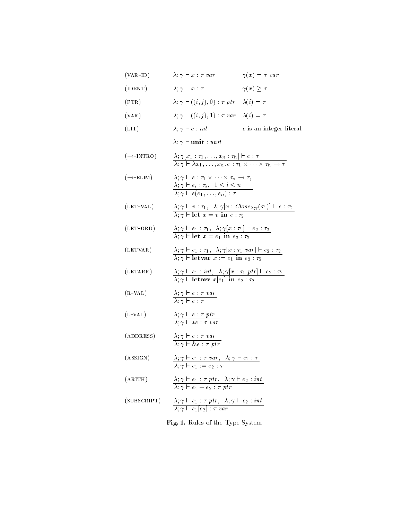| (VAR-ID)                                                                                                       | $\lambda; \gamma \vdash x : \tau$ var                                                                                                                                          | $\gamma(x) = \tau$ var  |
|----------------------------------------------------------------------------------------------------------------|--------------------------------------------------------------------------------------------------------------------------------------------------------------------------------|-------------------------|
| (IDENT)                                                                                                        | $\lambda; \gamma \vdash x : \tau$                                                                                                                                              | $\gamma(x) \geq \tau$   |
| (PTR)                                                                                                          | $\lambda; \gamma \vdash ((i, j), 0) : \tau$ <i>ptr</i> $\lambda(i) = \tau$                                                                                                     |                         |
| (VAR)                                                                                                          | $\lambda; \gamma \vdash ((i, j), 1) : \tau$ var $\lambda(i) = \tau$                                                                                                            |                         |
| (LIT)                                                                                                          | $\lambda; \gamma \vdash c : int$                                                                                                                                               | c is an integer literal |
| $\lambda; \gamma \vdash unit : unit$                                                                           | c is an integer literal                                                                                                                                                        |                         |
| $\rightarrow$ -INTRO)                                                                                          | $\frac{\lambda; \gamma[x_1 : \tau_1, \ldots, x_n : \tau_n] \vdash e : \tau}{\lambda; \gamma \vdash \lambda x_1, \ldots, x_n, e : \tau_1 \times \cdots \times \tau_n \to \tau}$ |                         |
| (\rightarrow-ELIM)                                                                                             | $\lambda; \gamma \vdash e : \tau_1 \times \cdots \times \tau_n \to \tau$                                                                                                       |                         |
| $\frac{\lambda; \gamma \vdash e : \tau_i, 1 \leq i \leq n}{\lambda; \gamma \vdash e(e_1, \ldots, e_n) : \tau}$ |                                                                                                                                                                                |                         |
| (LET-VAL)                                                                                                      | $\frac{\lambda; \gamma \vdash v : \tau_1, \lambda; \gamma[x : Close_{\lambda}; \gamma(\tau_1)] \vdash e : \tau_2}{\lambda; \gamma \vdash let x = v \text{ in } e : \tau_2}$    |                         |
| (LET-ORD)                                                                                                      | $\frac{\lambda; \gamma \vdash e_1 : \tau_1, \lambda; \gamma[x : \tau_1] \vdash e_2 : \tau_2}{\lambda; \gamma \vdash let x = e_1 \text{ in } e_2 : \tau_2}$                     |                         |
| (LETVAR)                                                                                                       | $\frac{\lambda; \gamma \vdash e_1 : \tau_1,$                                                                                                                                   |                         |

$$
(L-VAL) \qquad \frac{\lambda; \gamma \vdash e : \tau \text{ptr}}{\lambda; \gamma \vdash \ast e : \tau \text{var}}
$$

$$
\begin{array}{ll}\n\text{(ADDRESS)} & \lambda; \gamma \vdash e : \tau \text{ var} \\
\lambda; \gamma \vdash \& e : \tau \text{ pir}\n\end{array}
$$

-

(ASSIGN)  

$$
\lambda; \gamma \vdash e_1 : \tau \ var, \lambda; \gamma \vdash e_2 : \tau
$$

$$
\lambda; \gamma \vdash e_1 := e_2 : \tau
$$

 $\lambda$  ;  $\gamma \vdash e : \tau$ 

$$
\text{(ARITH)} \qquad \frac{\lambda; \gamma \vdash e_1 : \tau \text{ptr}, \ \lambda; \gamma \vdash e_2 : int}{\lambda; \gamma \vdash e_1 + e_2 : \tau \text{ptr}}
$$

 $(sUBSCRIPT)$  $\gamma \vdash e_1 : \tau \text{ptr}, \lambda; \gamma \vdash e_2 : \text{int}$  $\lambda$ ;  $\gamma \vdash e_1[e_2] : \tau \text{ var}$ 

### rig. I. Rules of the Type System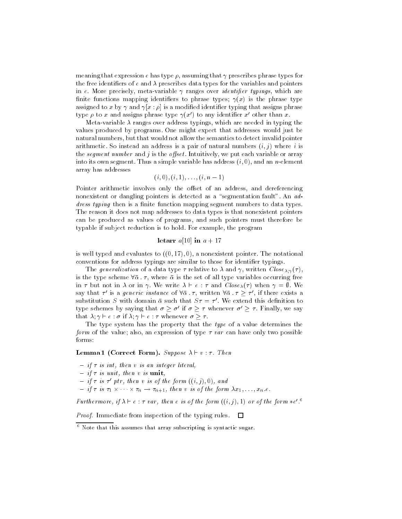$\mathcal{L}$  . The state that expression exceeds type  $\mathcal{L}$  as  $\mathcal{L}$  assuming that the phrase types for  $\mathcal{L}$ the free identifiers of e and  $\alpha$  preservative and  $\alpha$  preservative and pointers and pointers er typings precisely metals which is enough that when  $\eta$  are  $\eta$ nite functions mapping identiers to phrase types x is the phrase type assigned to  $\alpha$  by a modifying typing that assigned is assigned in property  $\alpha$  modifying that assigns  $\alpha$ type  $\rho$  to  $x$  and assigns phrase type  $\gamma(x$  ) to any identiner  $x$  -other than  $x$ .

Metavariable - ranges over address typings which are needed in typing the values produced by programs One might expect that addresses would just be natural numbers, but that would not allow the semantics to detect invalid pointer arithmetic. So instead an address is a pair of natural numbers  $(i, j)$  where i is the segment number and j is the offset. Intuitively, we put each variable or array into its own segment. Thus a simple variable has address  $(i, 0)$ , and an n-element array has addresses

$$
(i,0), (i,1), \ldots, (i,n-1)
$$

Pointer arithmetic involves only the o-set of an address and dereferencing nonexistent or dangling pointers is detected as a "segmentation fault". An address typing then is a finite function mapping segment numbers to data types. The reason it does not map addresses to data types is that nonexistent pointers can be produced as values of programs, and such pointers must therefore be typable if subject reduction is to hold. For example, the program

### $\frac{1}{2}$  in a contract  $\frac{1}{2}$  in a contract  $\frac{1}{2}$  in a contract of  $\frac{1}{2}$

is well typed and evaluates to  $\alpha$  ,  $\alpha$  is  $\alpha$  ,  $\beta$  ,  $\alpha$  and  $\alpha$  and  $\alpha$  and  $\alpha$  and  $\alpha$  and  $\alpha$ conventions for address typings are similar to those for identifier typings.

The generalization of a data type relative to - and written Close is the type scheme  $\forall \bar{\alpha} \cdot \tau$ , where  $\bar{\alpha}$  is the set of all type variables occurring free in  $\tau$  but not in  $\lambda$  or in  $\gamma$ . We write  $\lambda \vdash e : \tau$  and  $Close_{\lambda}(\tau)$  when  $\gamma = \emptyset$ . We say that  $\tau'$  is a *generic instance* of  $\forall \bar{\alpha}$ .  $\tau$ , written  $\forall \bar{\alpha}$ .  $\tau > \tau'$ , if there exists a substitution 5 with domain  $\alpha$  such that  $5\tau=\tau$  . We extend this definition to type schemes by saying that  $\sigma \geq \sigma'$  if  $\sigma \geq \tau$  whenever  $\sigma' \geq \tau$ . Finally, we say that  $\lambda$ ;  $\gamma \vdash e : \sigma$  if  $\lambda$ ;  $\gamma \vdash e : \tau$  whenever  $\sigma \geq \tau$ .

The type system has the property that the type of a value determines the form of the value; also, an expression of type  $\tau$  var can have only two possible forms:

**Lemma 1 (Correct Form).** Suppose  $\lambda \vdash v : \tau$ . Then

- if it is interested to an integer interaction
- if it is united the visit of the second values of  $\mathcal{L}$
- $\hskip1cm -$  if  $\tau$  is  $\tau$  pir, then v is of the form  $((\imath, \jmath), \cup)$ , and
- if is n n then <sup>v</sup> is of the form -x xne

Furthermore, if  $\lambda \vdash e : \tau$  var, then e is of the form  $((i, j), 1)$  or of the form  $\ast e'.^6$ 

Proof. Immediate from inspection of the typing rules.  $\Box$ 

<sup>-</sup> Note that this assumes that array subscripting is syntactic sugar.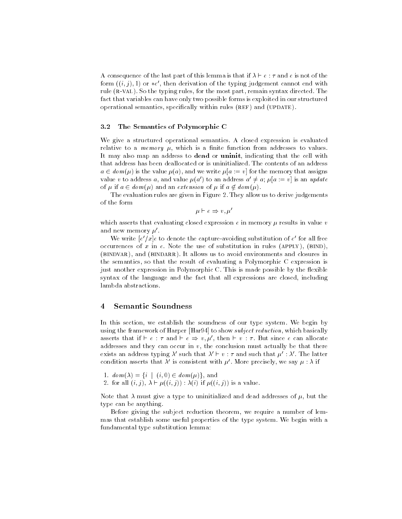A consequence of the last part of this lemma is that if  $\lambda \vdash e : \tau$  and e is not of the form  $(i, j)$ , 1) or  $\ast e'$ , then derivation of the typing judgement cannot end with rule (R-VAL). So the typing rules, for the most part, remain syntax directed. The fact that variables can have only two possible forms is exploited in our structured operational semantics, specifically within rules (REF) and (UPDATE).

### 3.2 The Semantics of Polymorphic C

We give a structured operational semantics A closed expression is evaluated relative to a *memory*  $\mu$ , which is a finite function from addresses to values. It may also map an address to **dead** or **uninit**, indicating that the cell with that address has been deallocated or is uninitialized. The contents of an address  $a \in dom(\mu)$  is the value  $\mu(a)$ , and we write  $\mu[a] := v$  for the memory that assigns value v to address a, and value  $\mu(a')$  to an address  $a' \neq a$ ;  $\mu[a] := v$  is an update of  $\mu$  if  $a \in \text{dom}(\mu)$  and an extension of  $\mu$  if  $a \notin \text{dom}(\mu)$ .

The evaluation rules are given in Figure 2. They allow us to derive judgements of the form

 $\mu \vdash e \Rightarrow v, \mu'$ 

which asserts that evaluating closed expression  $e$  in memory  $\mu$  results in value  $v$ and new memory  $\mu'$ .

we write  $\lceil e \rceil / x \rceil e$  to denote the capture-avoiding substitution of  $e$  for all free occurrences of x in e. Note the use of substitution in rules (APPLY), (BIND),  $(binDVAR)$ , and  $(binDARR)$ . It allows us to avoid environments and closures in the semantics, so that the result of evaluating a Polymorphic  $C$  expression is just another expression in Polymorphic C. This is made possible by the flexible syntax of the language and the fact that all expressions are closed, including lambda abstractions

# Semantic Soundness

In this section, we establish the soundness of our type system. We begin by using the framework of Harper [Har94] to show *subject reduction*, which basically asserts that if  $\vdash e : \tau$  and  $\vdash e \Rightarrow v, \mu'$ , then  $\vdash v : \tau$ . But since e can allocate addresses and they can occur in  $v$ , the conclusion must actually be that there exists an address typing  $\lambda'$  such that  $\lambda' \vdash v : \tau$  and such that  $\mu' : \lambda'$ . The latter condition asserts that  $\lambda$  is consistent with  $\mu$  . More precisely, we say  $\mu$  :  $\lambda$  if

- 1.  $dom(\lambda) = \{i \mid (i, 0) \in dom(\mu)\}\$ , and
- 2 for all  $(i, j)$ ,  $\lambda \vdash \mu((i, j)) : \lambda(i)$  if  $\mu((i, j))$  is a value.

Note that - must giveatype to uninitialized and dead addresses of but the type can be anything

Before giving the subject reduction theorem we require a number of lem mas that establish some useful properties of the type system We begin with a fundamental type substitution lemma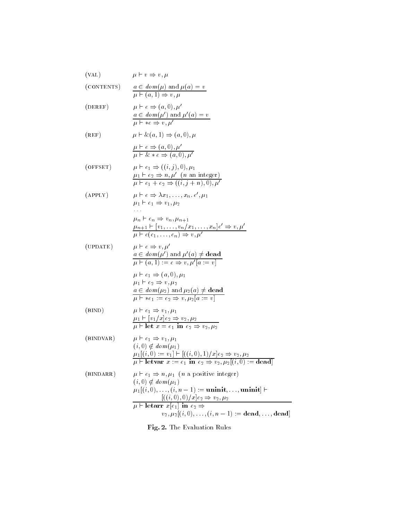(vAL) 
$$
\mu \vdash v \Rightarrow v, \mu
$$
  
\n(covTENTs)  $\underline{a} \in \underline{dom}(\mu) \text{ and } \mu(a) = v$   
\n $\mu \vdash (a, 1) \Rightarrow v, \mu$   
\n(DEREF)  $\mu \vdash e \Rightarrow (a, 0), \mu'$   
\n $\underline{a} \in \underline{dom}(\mu') \text{ and } \mu'(a) = v$   
\n $\mu \vdash e \Rightarrow v, \mu'$   
\n(REF)  $\mu \vdash \& (a, 1) \Rightarrow (a, 0), \mu$   
\n $\mu \vdash e \Rightarrow (a, 0), \mu'$   
\n $\mu \vdash e \Rightarrow (a, 0), \mu'$   
\n(0FFSET)  $\mu \vdash e_1 \in (i, j), 0), \mu_1$   
\n $\mu_1 \vdash e_2 \Rightarrow n, \mu'$  (na an integer)  
\n $\mu \vdash e_1 \leftrightarrow e_2 \Rightarrow ((i, j + n), 0), \mu'$   
\n(APPLY)  $\mu \vdash e \Rightarrow \lambda x_1, ..., x_n \cdot e', \mu_1$   
\n $\mu_1 \vdash e_1 \Rightarrow v_1, \mu_2$   
\n...  
\n $\mu_1 \vdash e_1 \Rightarrow v_1, \mu_2$   
\n...  
\n $\mu_1 \vdash e_1 \Rightarrow v_1, \mu_2$   
\n...  
\n $\mu_1 \vdash e_1 \Rightarrow v_1, \mu_2$   
\n...  
\n $\mu_1 \vdash e_1 \Rightarrow v_1, \mu_2$   
\n...  
\n $\mu_1 \vdash e_2 \Rightarrow v, \mu'$   
\n $\frac{a \in \text{dom}(\mu') \text{ and } \mu'(a) \neq \text{dead}}{\mu \vdash (a, 1) := e \Rightarrow v, \mu'[a := v]}$   
\n $\mu \vdash e_2 \Rightarrow v, \mu_2$   
\n $a \in \text{dom}(\mu') \text{ and } \mu_2(a) \neq \text{dead}$   
\n $\mu \vdash e_2 \Rightarrow v_1, \mu_2$   
\n(a \in \text{dom}(\mu\_1))  
\n $\mu_1 \vdash e_2 \Rightarrow v_1, \$ 

Fig - The Evaluation Rules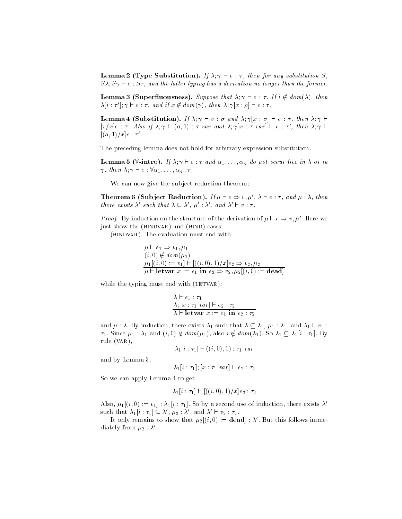**Lemma 2** (Type Substitution). If  $\lambda$ ;  $\gamma \vdash e : \tau$ , then for any substitution S.  $S\lambda$ ;  $S\gamma \vdash e$  :  $S\tau$ , and the latter typing has a derivation no longer than the former.

**Lemma 3 (Superfluousness).** Suppose that  $\lambda; \gamma \vdash e : \tau$ . If  $i \notin dom(\lambda)$ , then  $\lambda[i:\tau']$ ;  $\gamma \vdash e:\tau$ , and if  $x \notin dom(\gamma)$ , then  $\lambda$ ;  $\gamma[x:\rho] \vdash e:\tau$ .

**Lemma 4 (Substitution).** If  $\lambda$ :  $\gamma \vdash v$  :  $\sigma$  and  $\lambda$ :  $\gamma[x : \sigma] \vdash e : \tau$ , then  $\lambda$ :  $\gamma \vdash$  $[v/x]e : \tau$ . Also if  $\lambda; \gamma \vdash (a,1) : \tau$  var and  $\lambda; \gamma[x : \tau$  var  $] \vdash e : \tau'$ , then  $\lambda; \gamma \vdash$  $|(a, 1)/x|e : \tau$ .

The preceding lemma does not hold for arbitrary expression substitution

**Lemma 5** ( $\forall$ -intro). If  $\lambda$ ;  $\gamma \vdash e : \tau$  and  $\alpha_1, \ldots, \alpha_n$  do not occur free in  $\lambda$  or in then -

We can now give the subject reduction theorem:

**Theorem 6** (Subject Reduction). If  $\mu \vdash e \Rightarrow v, \mu', \lambda \vdash e : \tau$ , and  $\mu : \lambda$ , then there exists  $\lambda'$  such that  $\lambda \subset \lambda'$ ,  $\mu' : \lambda'$ , and  $\lambda' \vdash v : \tau$ .

*Proof.* By induction on the structure of the derivation of  $\mu \vdash e \Rightarrow v, \mu'$ . Here we just show the (BINDVAR) and (BIND) cases.

(BINDVAR). The evaluation must end with

$$
\mu \vdash e_1 \Rightarrow v_1, \mu_1
$$
  
(i, 0)  $\notin dom(\mu_1)$   

$$
\mu_1[(i, 0) := v_1] \vdash [((i, 0), 1)/x]e_2 \Rightarrow v_2, \mu_2
$$
  

$$
\mu \vdash \textbf{letvar } x := e_1 \textbf{ in } e_2 \Rightarrow v_2, \mu_2[(i, 0) := \textbf{dead}]
$$

while the typing must end with (LETVAR):

$$
\lambda \vdash e_1 : \tau_1
$$
\n
$$
\lambda; [x : \tau_1 \text{ var}] \vdash e_2 : \tau_2
$$
\n
$$
\lambda \vdash \textbf{letvar } x := e_1 \textbf{ in } e_2 : \tau_2
$$

and  $\mu : \lambda$ . By induction, there exists  $\lambda_1$  such that  $\lambda \subset \lambda_1$ ,  $\mu_1 : \lambda_1$ , and  $\lambda_1 \vdash v_1$ :  $\tau_1$ . Since  $\mu_1 : \lambda_1$  and  $(i,0) \notin dom(\mu_1)$ , also  $i \notin dom(\lambda_1)$ . So  $\lambda_1 \subseteq \lambda_1[i : \tau_1]$ . By rule  $(VAR)$ ,

$$
\lambda_{\,1}[i:\tau_1] \vdash ((i,0),1):\tau_1\,\mathit{var}
$$

and by Lemma

$$
\lambda_1[i:\tau_1]; [x:\tau_1\;var]\vdash e_2:\tau_2
$$

So we can apply Lemma 4 to get

$$
\lambda_1[i:\tau_1] \vdash [((i,0),1)/x]e_2:\tau_2
$$

Also,  $\mu_1$ ||1, U)  $\mu_2 = v_1$ ||:  $\lambda_1$ |1:  $\tau_1$ ||: So by a second use of induction, there exists  $\lambda$ such that  $\lambda_1[i:\tau_1] \subset \lambda', \mu_2: \lambda', \text{ and } \lambda' \vdash v_2: \tau_2$ .

It only remains to show that  $\mu_2$   $(i,0) \coloneqq \textbf{dead}$  :  $\lambda$  . But this follows immediately from  $\mu_2$  :  $\lambda$  .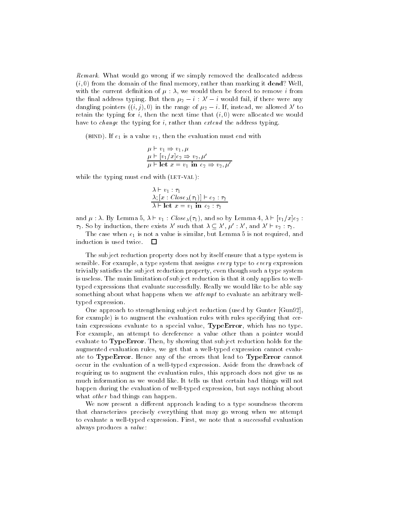Remark What would go wrong if we simply removed the deallocated address  $(i, 0)$  from the domain of the final memory, rather than marking it dead? Well, with the current denition of - we would then be forced to remove <sup>i</sup> from the final address typing. But then  $\mu_2 - i : \lambda' - i$  would fail, if there were any dangling pointers  $(i, j)$ , 0) in the range of  $\mu_2 - i$ . If, instead, we allowed  $\lambda'$  to retain the typing for i, then the next time that  $(i, 0)$  were allocated we would have to *change* the typing for  $i$ , rather than *extend* the address typing.

(BIND). If  $e_1$  is a value  $v_1$ , then the evaluation must end with

$$
\mu \vdash v_1 \Rightarrow v_1, \mu
$$
\n
$$
\mu \vdash [v_1/x]e_2 \Rightarrow v_2, \mu'
$$
\n
$$
\mu \vdash \text{let } x = v_1 \text{ in } e_2 \Rightarrow v_2, \mu'
$$

while the typing must end with (LET-VAL):

$$
\lambda \vdash v_1 : \tau_1
$$
\n
$$
\lambda; [x : Close_{\lambda}(\tau_1)] \vdash e_2 : \tau_2
$$
\n
$$
\lambda \vdash \textbf{let } x = v_1 \textbf{ in } e_2 : \tau_2
$$

and  $\mu : \lambda$ . By Lemma 5,  $\lambda \vdash v_1 : Close_{\lambda}(\tau_1)$ , and so by Lemma 4,  $\lambda \vdash [v_1/x]e_2 :$  $\tau_2$ . So by induction, there exists  $\lambda'$  such that  $\lambda \subset \lambda', \mu' : \lambda'$ , and  $\lambda' \vdash v_2 : \tau_2$ .

The case when  $e_1$  is not a value is similar, but Lemma 5 is not required, and induction is used twice.  $\square$ 

The subject reduction property does not by itself ensure that a type system is sensible. For example, a type system that assigns every type to every expression trivially satisfies the subject reduction property, even though such a type system is useless The main limitation of subject reduction is that it only applies to well typed expressions that evaluate successfully Really we would like to be able say something about what happens when we attempt to evaluate an arbitrary welltyped expression

One approach to strengthening subject reduction (used by Gunter [Gun92], for example) is to augment the evaluation rules with rules specifying that certain expressions evaluate to a special value,  $TypeError$ , which has no type. For example, an attempt to dereference a value other than a pointer would evaluate to  $TypeError$ . Then, by showing that subject reduction holds for the augmented evaluation rules, we get that a well-typed expression cannot evaluate to  $TypeError$ . Hence any of the errors that lead to  $TypeError$  cannot occur in the evaluation of a well-typed expression. Aside from the drawback of requiring us to augment the evaluation rules, this approach does not give us as much information as we would like It tells us that certain bad things will not happen during the evaluation of well-typed expression, but says nothing about what *other* bad things can happen.

we now present a distribution opposition that  $\mathbf{a}$  is a type sound interesting theorem. that characterizes precisely everything that may go wrong when we attempt to evaluate a well-typed expression. First, we note that a successful evaluation always produces a value: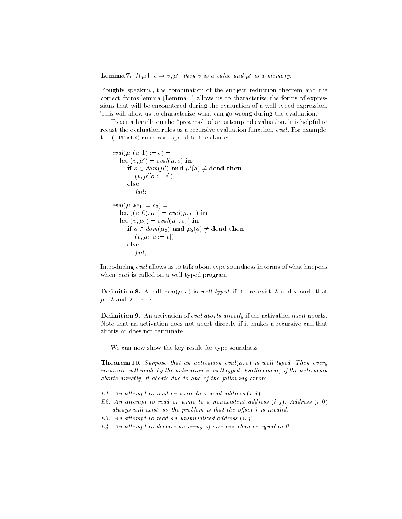**Lemma 7.** If  $\mu \vdash e \Rightarrow v, \mu'$ , then v is a value and  $\mu'$  is a memory.

Roughly speaking, the combination of the subject reduction theorem and the  $\Lambda$  allows us to characterize the forms of expressions of expressions of expressions of expressions of expressions of expressions of expressions of expressions of expressions of expressions of expressions of expressions sions that will be encountered during the evaluation of a well-typed expression. This will allow us to characterize what can go wrong during the evaluation

To get a handle on the "progress" of an attempted evaluation, it is helpful to recast the evaluation rules as a recursive evaluation function,  $eval$ . For example, the (UPDATE) rules correspond to the clauses

```
\cdots . The contract \cdotslet (v, \mu) = eval(\mu, e) in
        if a \in \text{dom}(\mu') and \mu'(a) \neq \text{dead then}(v, \mu'[a := v])elsefail:
eval(\mu, *e_1 := e_2) =\mathbf{C} = \{(\alpha, \beta), \mu | \beta \in \mathbb{R}^n : \alpha, \mu, \beta \in \mathbb{R}^n \}\mathbf{r} \in \{v_1, v_2\} = \mathbf{v} \in \mathbb{R}^n \setminus \{v_1, v_2\} and
        if a \in \text{dom}(\mu_2) and \mu_2(a) \neq \text{dead then}v_1 \mu_2 w_1 = v_1elsefail;
```
Introducing eval allows us to talk about type soundness in terms of what happens when  $eval$  is called on a well-typed program.

**Demitions.** A can evaluate is well upped in their calst A and T such that  $\mu : \lambda$  and  $\lambda \vdash e : \tau$ .

**Denition 3.** An activation of eval aborts affectly if the activation itself aborts. Note that an activation does not abort directly if it makes a recursive call that aborts or does not terminate.

We can now show the key result for type soundness:

**THEOREM TO** Duppose that an activation evaluate is well typed. Then every recursive call made by the activation is well typed. Furthermore, if the activation aborts directly, it aborts due to one of the following errors:

- E1. An attempt to read or write to a dead address  $(i, j)$ .
- E2. An attempt to read or write to a nonexistent address  $(i, j)$ . Address  $(i, 0)$ always will exist, so the problem is that the offset  $j$  is invalid.
- $E$  . The weight to read an uninitialized addition  $\{v, f\}$ .
- $E_4$ . An attempt to declare an array of size less than or equal to 0.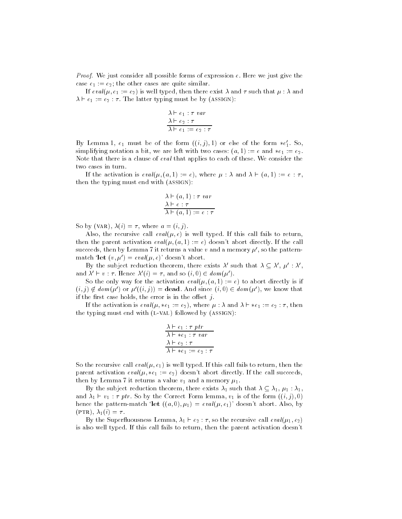*Proof.* We just consider all possible forms of expression  $e$ . Here we just give the case e e-cases are quite similar similar similar similar similar similar similar similar similar similar simi

 $\mathbf{r}$  eval  $\mathbf{w}_1$  ,  $\mathbf{r}_2$  is well that there exists and the such that  $\mathbf{w}_2$  and  $\mathbf{r}_3$  $\lambda \vdash e_1 := e_2 : \tau$ . The latter typing must be by (ASSIGN):

$$
\begin{array}{l}\n\lambda \vdash e_1 : \tau \text{ var} \\
\lambda \vdash e_2 : \tau \\
\lambda \vdash e_1 := e_2 : \tau\n\end{array}
$$

By Lemma 1,  $e_1$  must be of the form  $((i,j),1)$  or else of the form  $\ast e'_1$ . So, simplifying notation a bit, we are left with two cases:  $(a, 1) := e$  and  $*e_1 := e_2$ . Note that there is a clause of *eval* that applies to each of these. We consider the two cases in turn

If the activation is  $eval(\mu, (a, 1)) := e$ , where  $\mu : \lambda$  and  $\lambda \vdash (a, 1) := e : \tau$ . then the typing must end with  $(ASSIGN):$ 

$$
\begin{array}{l}\n\lambda \vdash (a, 1) : \tau \, \text{var} \\
\lambda \vdash e : \tau \\
\overline{\lambda \vdash (a, 1) := e : \tau}\n\end{array}
$$

So by (VAR),  $\lambda(i) = \tau$ , where  $a = (i, j)$ .

Also, the recursive call  $eval(\mu, e)$  is well typed. If this call fails to return, the the parent activation evaluation  $\{p_i\}$  as a component above directly in the called succeeds, then by Lemma 7 it returns a value v and a memory  $\mu'$ , so the patternmatch 'let  $(v, \mu') = eval(\mu, e)$ ' doesn't abort.

By the subject reduction theorem, there exists  $\lambda'$  such that  $\lambda \subset \lambda', \mu' : \lambda',$ and  $\lambda' \vdash v : \tau$ . Hence  $\lambda'(i) = \tau$ , and so  $(i, 0) \in dom(\mu')$ .

 $S$  to a form  $\mu$  was for the activation evaluation and  $\mu$  is the above directly in  $\mu$  $(i, j) \notin dom(\mu')$  or  $\mu'((i, j)) =$  dead. And since  $(i, 0) \in dom(\mu')$ , we know that<br>if the first case holds, the error is in the offset j.<br>If the activation is  $eval(\mu, *e_1 := e_2)$ , where  $\mu : \lambda$  and  $\lambda \vdash *e_1 := e_2 : \tau$ , then if the news case motion, we can be an interesting,

If the activation is  $eval(\mu, *e_1 := e_2)$ , where  $\mu : \lambda$  and  $\lambda \vdash *e_1 := e_2 : \tau$ , then the typing must end with (L-VAL) followed by (ASSIGN):  $\,$ 

$$
\lambda \vdash e_1 : \tau \text{ptr}
$$
\n
$$
\lambda \vdash *e_1 : \tau \text{ var}
$$
\n
$$
\lambda \vdash e_2 : \tau
$$
\n
$$
\lambda \vdash *e_1 := e_2 : \tau
$$

So the recursive call  $eval(\mu, e_1)$  is well typed. If this call fails to return, then the parent activation  $eval(\mu, *e_1 := e_2)$  doesn't abort directly. If the call succeeds, then by Lemma 7 it returns a value  $v_1$  and a memory  $\mu_1$ .

By the subject reduction theorem, there exists  $\lambda_1$  such that  $\lambda \subset \lambda_1$ ,  $\mu_1 : \lambda_1$ , and  $\lambda_1 \vdash v_1 : \tau \text{ ptr}$ . So by the Correct Form lemma,  $v_1$  is of the form  $((i, j), 0)$ hence the pattern-match 'let  $((a, 0), \mu_1) = eval(\mu, e_1)$ ' doesn't abort. Also, by  $(PTR), \lambda_1(i) = \tau.$ 

By the Superfluousness Lemma,  $\lambda_1 \vdash e_2 : \tau$ , so the recursive call  $eval(\mu_1, e_2)$ is also well typed. If this call fails to return, then the parent activation doesn't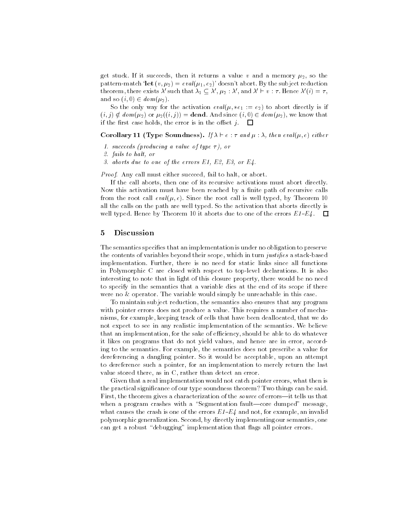get studies in succeeding the it returns a value v and a memory -pay so the  $\mathsf{p}\text{-}\mathsf{m}\text{-}\mathsf{m}\text{-}\mathsf{m}\text{-}\mathsf{m}\text{-}\mathsf{m}\text{-}\mathsf{m}\text{-}\mathsf{m}\text{-}\mathsf{m}\text{-}\mathsf{m}\text{-}\mathsf{m}\text{-}\mathsf{m}\text{-}\mathsf{m}\text{-}\mathsf{m}\text{-}\mathsf{m}\text{-}\mathsf{m}\text{-}\mathsf{m}\text{-}\mathsf{m}\text{-}\mathsf{m}\text{-}\mathsf{m}\text{-}\mathsf{m}\text{-}\mathsf{m}\text{-}\mathsf{m}\text{-}\mathsf{m}\text{-}\mathsf{m}\text{-}\mathsf{m}\text{-}\mathsf{m}\text{-}\mathsf{$ theorem, there exists  $\lambda'$  such that  $\lambda_1 \subset \lambda', \mu_2 : \lambda', \text{and } \lambda' \vdash v : \tau$ . Hence  $\lambda'(i) = \tau$ , and so  $(i, 0) \in \text{dom}(\mu_2)$ .

So the only way for the activation  $eval(\mu, *e_1 := e_2)$  to abort directly is if  $(i, j) \notin dom(\mu_2)$  or  $\mu_2((i, j)) =$  dead. And since  $(i, 0) \in dom(\mu_2)$ , we know that if the rest case of the set in the error is in the order  $\mathcal{E}$ 

Corollary 11 (Type Soundness). If  $\lambda \vdash e : \tau$  and  $\mu : \lambda$ , then eval( $\mu, e$ ) either

- 1. succeeds (producing a value of type  $\tau$ ), or
- $2.$  fails to halt, or
- aborts due to one of the errors E E E or E

*Proof.* Any call must either succeed, fail to halt, or abort.

If the call aborts, then one of its recursive activations must abort directly. Now this activation must have been reached by a finite path of recursive calls from the root call evaluately since the root call is well typed, by Theorem for  $\mathcal{L}$ all the calls on the path are well typed. So the activation that aborts directly is well typed Hence by Theorem Hence by Theorem and the errors EE theorem is abort so one of the errors EE the er

# Discussion

The semantics specifies that an implementation is under no obligation to preserve the contents of variables beyond their scope which in turn justi-es a stackbased implementation. Further, there is no need for static links since all functions in Polymorphic C are closed with respect to top-level declarations. It is also interesting to note that in light of this closure property there would be no need to specify in the semantics that a variable dies at the end of its scope if there were no  $\&$  operator. The variable would simply be unreachable in this case.

To maintain subject reduction, the semantics also ensures that any program with pointer errors does not produce a value. This requires a number of mechanisms, for example, keeping track of cells that have been deallocated, that we do not expect to see in any realistic implementation of the semantics We believe that an implementation, for the sake of efficiency, should be able to do whatever it likes on programs that do not yield values, and hence are in error, according to the semantics. For example, the semantics does not prescribe a value for dereferencing a dangling pointer. So it would be acceptable, upon an attempt to dereference such a pointer, for an implementation to merely return the last value stored there, as in  $C$ , rather than detect an error.

Given that a real implementation would not catch pointer errors what then is the practical signicance of our type soundness theorem Two things can be said First, the theorem gives a characterization of the source of errors-it tells us that when a program crashes with a "Segmentation fault-core dumped" message what causes the crash is one of the errors  $E1-E4$  and not, for example, an invalid polymorphic generalization. Second, by directly implementing our semantics, one can get a robust "debugging" implementation that flags all pointer errors.